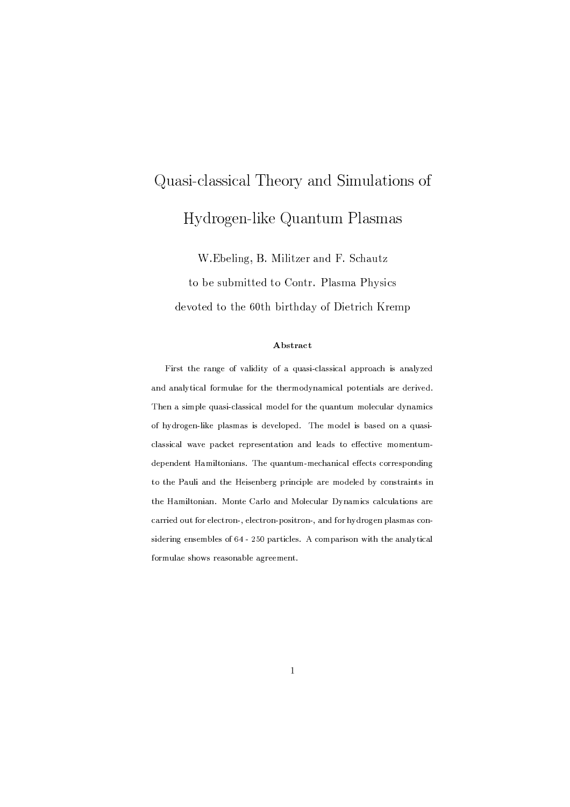# Quasi-classical Theory and Simulations of Hydrogen-like Quantum Plasmas

W.Ebeling, B. Militzer and F. Schautz

to be submitted to Contr. Plasma Physics devoted to the 60th birthday of Dietrich Kremp

### Abstract

First the range of validity of a quasi-classical approach is analyzed and analytical formulae for the thermodynamical potentials are derived. Then a simple quasi-classical model for the quantum molecular dynamics of hydrogen-like plasmas is developed. The model is based on a quasiclassical wave packet representation and leads to effective momentumdependent Hamiltonians. The quantum-mechanical effects corresponding to the Pauli and the Heisenberg principle are modeled by constraints in the Hamiltonian. Monte Carlo and Molecular Dynamics calculations are carried out for electron-, electron-positron-, and for hydrogen plasmas considering ensembles of 64 - 250 particles. A comparison with the analytical formulae shows reasonable agreement.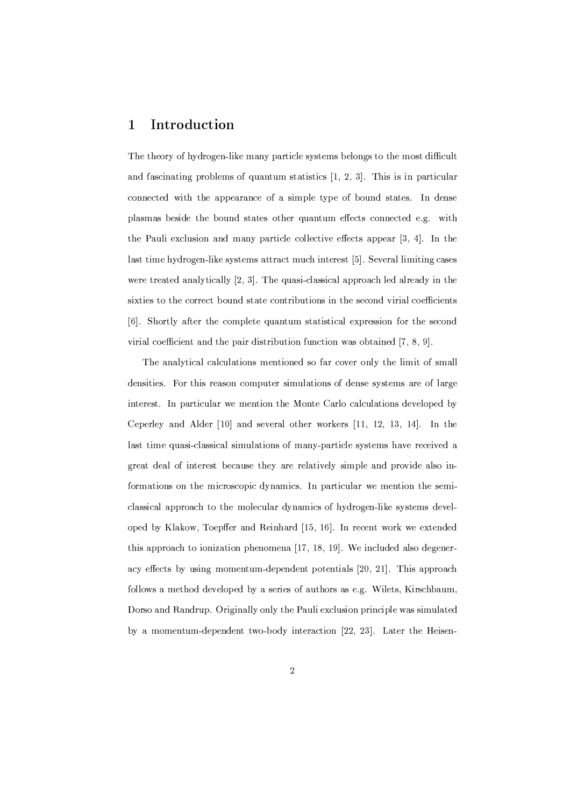#### Introduction  $\mathbf 1$

The theory of hydrogen-like many particle systems belongs to the most difficult and fascinating problems of quantum statistics  $[1, 2, 3]$ . This is in particular connected with the appearance of a simple type of bound states. In dense plasmas beside the bound states other quantum effects connected e.g. with the Pauli exclusion and many particle collective effects appear [3, 4]. In the last time hydrogen-like systems attract much interest [5]. Several limiting cases were treated analytically [2, 3]. The quasi-classical approach led already in the sixties to the correct bound state contributions in the second virial coefficients [6]. Shortly after the complete quantum statistical expression for the second virial coefficient and the pair distribution function was obtained [7, 8, 9].

The analytical calculations mentioned so far cover only the limit of small densities. For this reason computer simulations of dense systems are of large interest. In particular we mention the Monte Carlo calculations developed by Ceperley and Alder [10] and several other workers [11, 12, 13, 14]. In the last time quasi-classical simulations of many-particle systems have received a great deal of interest because they are relatively simple and provide also informations on the microscopic dynamics. In particular we mention the semiclassical approach to the molecular dynamics of hydrogen-like systems developed by Klakow, Toepffer and Reinhard [15, 16]. In recent work we extended this approach to ionization phenomena [17, 18, 19]. We included also degeneracy effects by using momentum-dependent potentials [20, 21]. This approach follows a method developed by a series of authors as e.g. Wilets, Kirschbaum, Dorso and Randrup. Originally only the Pauli exclusion principle was simulated by a momentum-dependent two-body interaction [22, 23]. Later the Heisen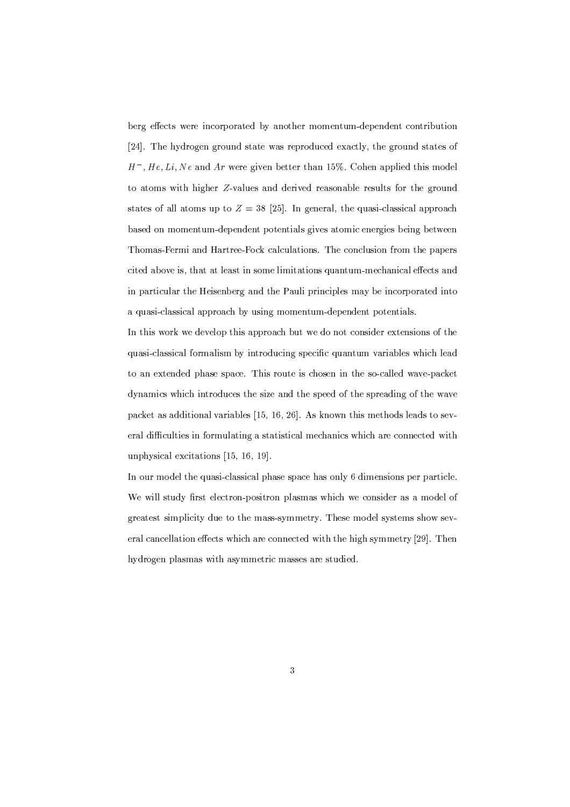berg effects were incorporated by another momentum-dependent contribution [24]. The hydrogen ground state was reproduced exactly, the ground states of  $H^-, He, Li, Ne$  and Ar were given better than 15%. Cohen applied this model to atoms with higher Z-values and derived reasonable results for the ground states of all atoms up to  $Z = 38$  [25]. In general, the quasi-classical approach based on momentum-dependent potentials gives atomic energies being between Thomas-Fermi and Hartree-Fock calculations. The conclusion from the papers cited above is, that at least in some limitations quantum-mechanical effects and in particular the Heisenberg and the Pauli principles may be incorporated into a quasi-classical approach by using momentum-dependent potentials.

In this work we develop this approach but we do not consider extensions of the quasi-classical formalism by introducing specific quantum variables which lead to an extended phase space. This route is chosen in the so-called wave-packet dynamics which introduces the size and the speed of the spreading of the wave packet as additional variables  $[15, 16, 26]$ . As known this methods leads to several difficulties in formulating a statistical mechanics which are connected with unphysical excitations [15, 16, 19].

In our model the quasi-classical phase space has only 6 dimensions per particle. We will study first electron-positron plasmas which we consider as a model of greatest simplicity due to the mass-symmetry. These model systems show several cancellation effects which are connected with the high symmetry [29]. Then hydrogen plasmas with asymmetric masses are studied.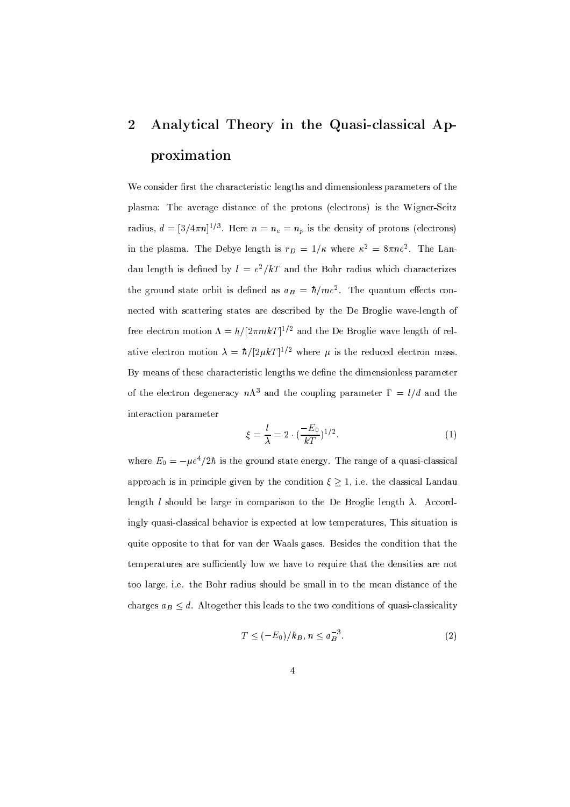## Analytical Theory in the Quasi-classical Ap- $\overline{2}$ proximation

We consider first the characteristic lengths and dimensionless parameters of the plasma: The average distance of the protons (electrons) is the Wigner-Seitz radius,  $d = \left[\frac{3}{4\pi n}\right]^{1/3}$ . Here  $n = n_e = n_p$  is the density of protons (electrons) in the plasma. The Debye length is  $r_D = 1/\kappa$  where  $\kappa^2 = 8\pi n e^2$ . The Landau length is defined by  $l = e^2/kT$  and the Bohr radius which characterizes the ground state orbit is defined as  $a_B = \hbar/me^2$ . The quantum effects connected with scattering states are described by the De Broglie wave-length of free electron motion  $\Lambda = h/[2\pi mkT]^{1/2}$  and the De Broglie wave length of relative electron motion  $\lambda = \hbar/[2\mu kT]^{1/2}$  where  $\mu$  is the reduced electron mass. By means of these characteristic lengths we define the dimensionless parameter of the electron degeneracy  $n\Lambda^3$  and the coupling parameter  $\Gamma = l/d$  and the interaction parameter

$$
\xi = \frac{l}{\lambda} = 2 \cdot \left(\frac{-E_0}{kT}\right)^{1/2}.
$$
 (1)

where  $E_0 = -\mu e^4/2\hbar$  is the ground state energy. The range of a quasi-classical approach is in principle given by the condition  $\xi \geq 1$ , i.e. the classical Landau length *l* should be large in comparison to the De Broglie length  $\lambda$ . Accordingly quasi-classical behavior is expected at low temperatures, This situation is quite opposite to that for van der Waals gases. Besides the condition that the temperatures are sufficiently low we have to require that the densities are not too large, i.e. the Bohr radius should be small in to the mean distance of the charges  $a_B \leq d$ . Altogether this leads to the two conditions of quasi-classicality

$$
T \le (-E_0)/k_B, n \le a_B^{-3}.
$$
 (2)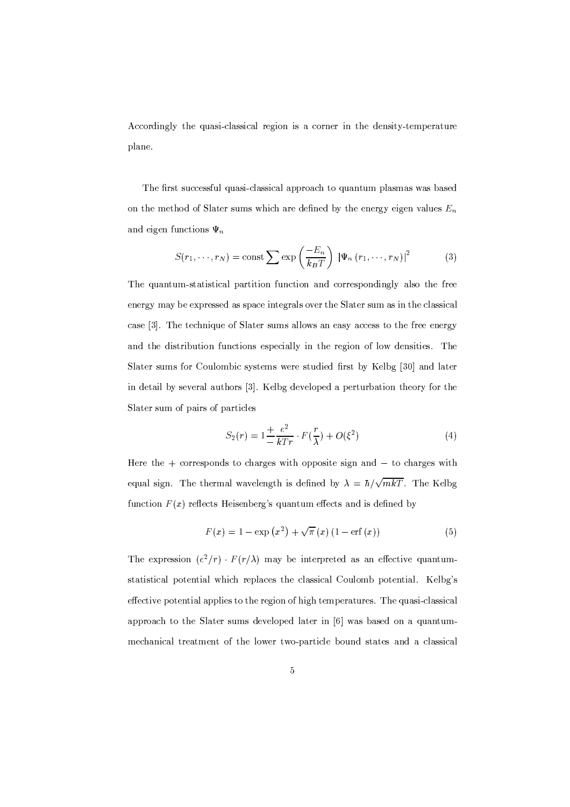Accordingly the quasi-classical region is a corner in the density-temperature plane.

The first successful quasi-classical approach to quantum plasmas was based on the method of Slater sums which are defined by the energy eigen values  $E_n$ and eigen functions  $\Psi_n$ 

$$
S(r_1, \dots, r_N) = \text{const} \sum \exp\left(\frac{-E_n}{k_B T}\right) \left|\Psi_n(r_1, \dots, r_N)\right|^2 \tag{3}
$$

The quantum-statistical partition function and correspondingly also the free energy may be expressed as space integrals over the Slater sum as in the classical case [3]. The technique of Slater sums allows an easy access to the free energy and the distribution functions especially in the region of low densities. The Slater sums for Coulombic systems were studied first by Kelbg [30] and later in detail by several authors [3]. Kelbg developed a perturbation theory for the Slater sum of pairs of particles

$$
S_2(r) = 1 \frac{1}{-} \frac{e^2}{k \cdot r} \cdot F(\frac{r}{\lambda}) + O(\xi^2)
$$
 (4)

Here the  $+$  corresponds to charges with opposite sign and  $-$  to charges with equal sign. The thermal wavelength is defined by  $\lambda = \hbar / \sqrt{mkT}$ . The Kelbg function  $F(x)$  reflects Heisenberg's quantum effects and is defined by

$$
F(x) = 1 - \exp(x^{2}) + \sqrt{\pi}(x) (1 - \text{erf}(x))
$$
 (5)

The expression  $(e^2/r)$   $F(r/\lambda)$  may be interpreted as an effective quantumstatistical potential which replaces the classical Coulomb potential. Kelbg's effective potential applies to the region of high temperatures. The quasi-classical approach to the Slater sums developed later in [6] was based on a quantummechanical treatment of the lower two-particle bound states and a classical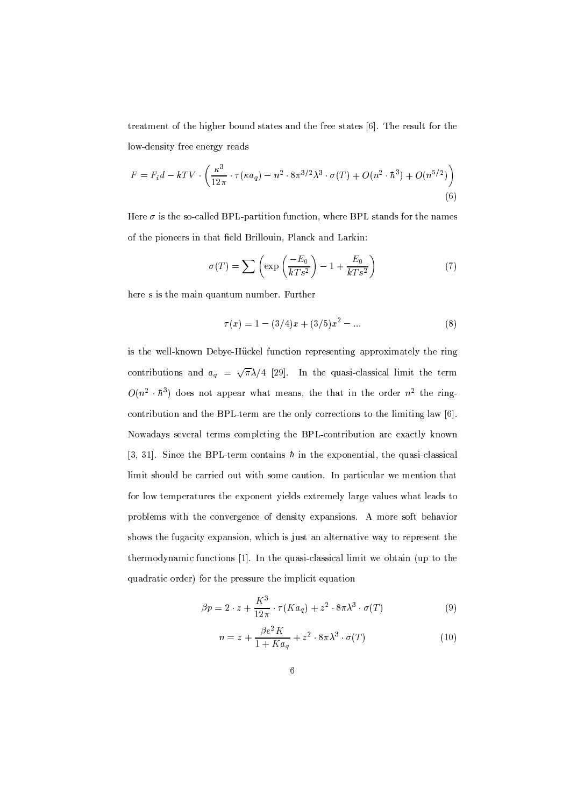treatment of the higher bound states and the free states [6]. The result for the low-density free energy reads

$$
F = F_i d - kTV \cdot \left(\frac{\kappa^3}{12\pi} \cdot \tau(\kappa a_q) - n^2 \cdot 8\pi^{3/2} \lambda^3 \cdot \sigma(T) + O(n^2 \cdot \hbar^3) + O(n^{5/2})\right)
$$
\n(6)

Here  $\sigma$  is the so-called BPL-partition function, where BPL stands for the names of the pioneers in that field Brillouin, Planck and Larkin:

$$
\sigma(T) = \sum \left( \exp\left(\frac{-E_0}{kTs^2}\right) - 1 + \frac{E_0}{kTs^2} \right) \tag{7}
$$

here s is the main quantum number. Further

$$
\tau(x) = 1 - (3/4)x + (3/5)x^{2} - \dots
$$
 (8)

is the well-known Debye-Hückel function representing approximately the ring contributions and  $a_q = \sqrt{\pi} \lambda/4$  [29]. In the quasi-classical limit the term  $O(n^2 \cdot \hbar^3)$  does not appear what means, the that in the order  $n^2$  the ringcontribution and the BPL-term are the only corrections to the limiting law [6]. Nowadays several terms completing the BPL-contribution are exactly known [3, 31]. Since the BPL-term contains  $\hbar$  in the exponential, the quasi-classical limit should be carried out with some caution. In particular we mention that for low temperatures the exponent yields extremely large values what leads to problems with the convergence of density expansions. A more soft behavior shows the fugacity expansion, which is just an alternative way to represent the thermodynamic functions [1]. In the quasi-classical limit we obtain (up to the quadratic order) for the pressure the implicit equation

$$
\beta p = 2 \cdot z + \frac{K^3}{12\pi} \cdot \tau(Ka_q) + z^2 \cdot 8\pi \lambda^3 \cdot \sigma(T) \tag{9}
$$

$$
n = z + \frac{\beta e^2 K}{1 + K a_q} + z^2 \cdot 8\pi \lambda^3 \cdot \sigma(T) \tag{10}
$$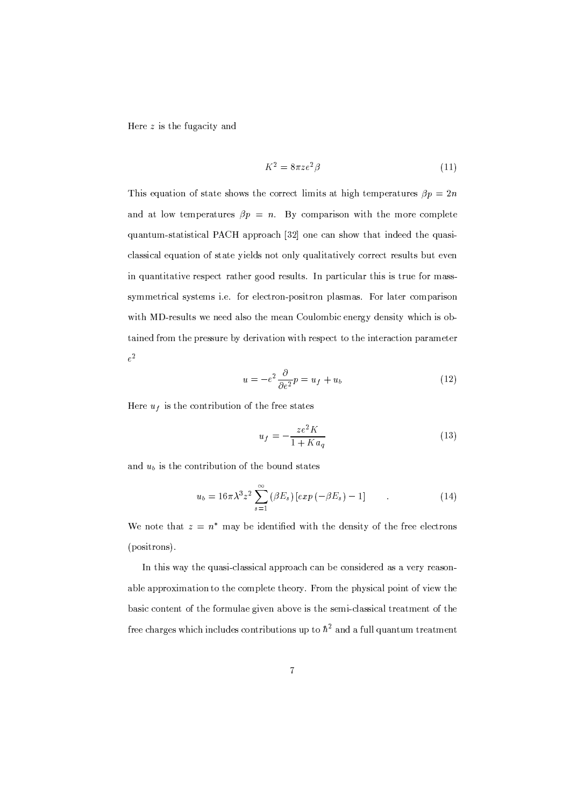Here  $z$  is the fugacity and

$$
K^2 = 8\pi z e^2 \beta \tag{11}
$$

This equation of state shows the correct limits at high temperatures  $\beta p = 2n$ and at low temperatures  $\beta p = n$ . By comparison with the more complete quantum-statistical PACH approach [32] one can show that indeed the quasiclassical equation of state yields not only qualitatively correct results but even in quantitative respect rather good results. In particular this is true for masssymmetrical systems i.e. for electron-positron plasmas. For later comparison with MD-results we need also the mean Coulombic energy density which is obtained from the pressure by derivation with respect to the interaction parameter  $e^2$ 

$$
u = -e^2 \frac{\partial}{\partial e^2} p = u_f + u_b \tag{12}
$$

Here  $u_f$  is the contribution of the free states

$$
u_f = -\frac{ze^2K}{1+Ka_q} \tag{13}
$$

and  $u_b$  is the contribution of the bound states

$$
u_b = 16\pi\lambda^3 z^2 \sum_{s=1}^{\infty} (\beta E_s) \left[ exp\left(-\beta E_s\right) - 1\right] \tag{14}
$$

We note that  $z = n^*$  may be identified with the density of the free electrons (positrons).

In this way the quasi-classical approach can be considered as a very reasonable approximation to the complete theory. From the physical point of view the basic content of the formulae given above is the semi-classical treatment of the free charges which includes contributions up to  $\hbar^2$  and a full quantum treatment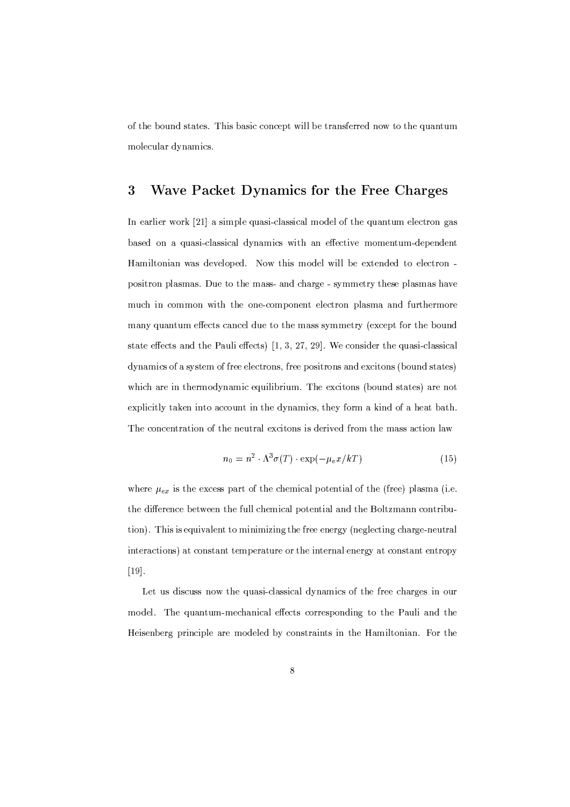of the bound states. This basic concept will be transferred now to the quantum molecular dynamics.

#### 3 Wave Packet Dynamics for the Free Charges

In earlier work [21] a simple quasi-classical model of the quantum electron gas based on a quasi-classical dynamics with an effective momentum-dependent Hamiltonian was developed. Now this model will be extended to electron positron plasmas. Due to the mass- and charge - symmetry these plasmas have much in common with the one-component electron plasma and furthermore many quantum effects cancel due to the mass symmetry (except for the bound state effects and the Pauli effects)  $[1, 3, 27, 29]$ . We consider the quasi-classical dynamics of a system of free electrons, free positrons and excitons (bound states) which are in thermodynamic equilibrium. The excitons (bound states) are not explicitly taken into account in the dynamics, they form a kind of a heat bath. The concentration of the neutral excitons is derived from the mass action law

$$
n_0 = n^2 \cdot \Lambda^3 \sigma(T) \cdot \exp(-\mu_e x/kT) \tag{15}
$$

where  $\mu_{ex}$  is the excess part of the chemical potential of the (free) plasma (i.e. the difference between the full chemical potential and the Boltzmann contribution). This is equivalent to minimizing the free energy (neglecting charge-neutral interactions) at constant temperature or the internal energy at constant entropy  $[19]$ .

Let us discuss now the quasi-classical dynamics of the free charges in our model. The quantum-mechanical effects corresponding to the Pauli and the Heisenberg principle are modeled by constraints in the Hamiltonian. For the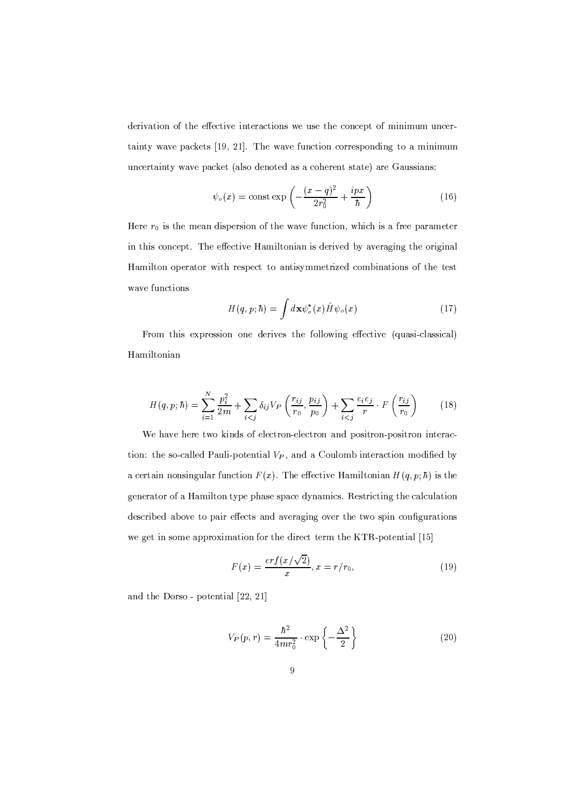derivation of the effective interactions we use the concept of minimum uncertainty wave packets [19, 21]. The wave function corresponding to a minimum uncertainty wave packet (also denoted as a coherent state) are Gaussians:

$$
\psi_o(x) = \text{const} \exp\left(-\frac{(x-q)^2}{2r_0^2} + \frac{ipx}{\hbar}\right) \tag{16}
$$

Here  $r_0$  is the mean dispersion of the wave function, which is a free parameter in this concept. The effective Hamiltonian is derived by averaging the original Hamilton operator with respect to antisymmetrized combinations of the test wave functions

$$
H(q, p; \hbar) = \int d\mathbf{x} \psi_o^*(x) \hat{H} \psi_o(x)
$$
 (17)

From this expression one derives the following effective (quasi-classical) Hamiltonian

$$
H(q, p; \hbar) = \sum_{i=1}^{N} \frac{p_i^2}{2m} + \sum_{i < j} \delta_{ij} V_P \left(\frac{r_{ij}}{r_0}, \frac{p_{ij}}{p_0}\right) + \sum_{i < j} \frac{e_i e_j}{r} \cdot F\left(\frac{r_{ij}}{r_0}\right) \tag{18}
$$

We have here two kinds of electron-electron and positron-positron interaction: the so-called Pauli-potential  $V_P$ , and a Coulomb interaction modified by a certain nonsingular function  $F(x)$ . The effective Hamiltonian  $H(q, p; \hbar)$  is the generator of a Hamilton type phase space dynamics. Restricting the calculation described above to pair effects and averaging over the two spin configurations we get in some approximation for the direct term the KTR-potential [15]

$$
F(x) = \frac{erf(x/\sqrt{2})}{x}, x = r/r_0,
$$
\n(19)

and the Dorso - potential [22, 21]

$$
V_P(p,r) = \frac{\hbar^2}{4mr_0^2} \cdot \exp\left\{-\frac{\Delta^2}{2}\right\} \tag{20}
$$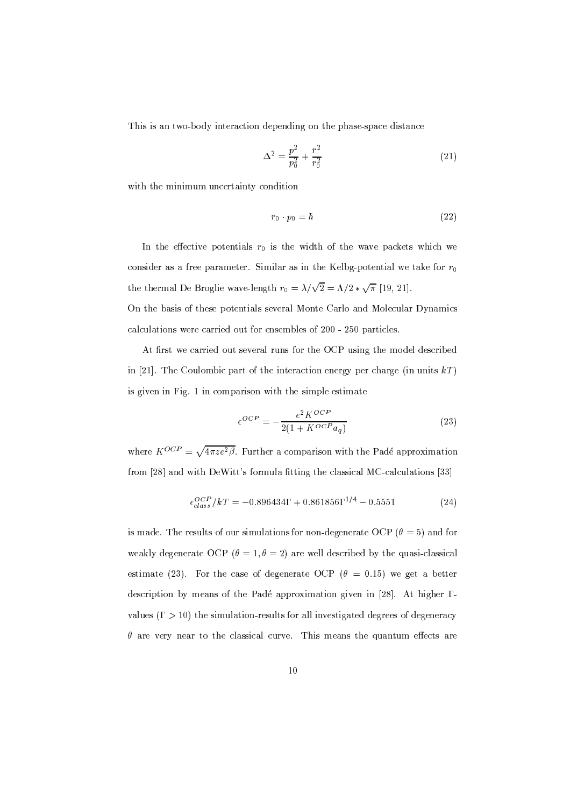This is an two-body interaction depending on the phase-space distance

$$
\Delta^2 = \frac{p^2}{p_0^2} + \frac{r^2}{r_0^2} \tag{21}
$$

with the minimum uncertainty condition

$$
r_0 \cdot p_0 = \hbar \tag{22}
$$

In the effective potentials  $r_0$  is the width of the wave packets which we consider as a free parameter. Similar as in the Kelbg-potential we take for  $r_0$ the thermal De Broglie wave-length  $r_0 = \lambda/\sqrt{2} = \Lambda/2 * \sqrt{\pi}$  [19, 21]. On the basis of these potentials several Monte Carlo and Molecular Dynamics calculations were carried out for ensembles of 200 - 250 particles.

At first we carried out several runs for the OCP using the model described in [21]. The Coulombic part of the interaction energy per charge (in units  $kT$ ) is given in Fig. 1 in comparison with the simple estimate

$$
\epsilon^{OCP} = -\frac{e^2 K^{OCP}}{2(1 + K^{OCP} a_q)}\tag{23}
$$

where  $K^{OCP} = \sqrt{4\pi z e^2 \beta}$ . Further a comparison with the Padé approximation from [28] and with DeWitt's formula fitting the classical MC-calculations [33]

$$
\epsilon_{class}^{OCP} / kT = -0.896434\Gamma + 0.861856\Gamma^{1/4} - 0.5551\tag{24}
$$

is made. The results of our simulations for non-degenerate OCP ( $\theta = 5$ ) and for weakly degenerate OCP ( $\theta = 1, \theta = 2$ ) are well described by the quasi-classical estimate (23). For the case of degenerate OCP ( $\theta = 0.15$ ) we get a better description by means of the Padé approximation given in [28]. At higher  $\Gamma$ values ( $\Gamma > 10$ ) the simulation-results for all investigated degrees of degeneracy  $\theta$  are very near to the classical curve. This means the quantum effects are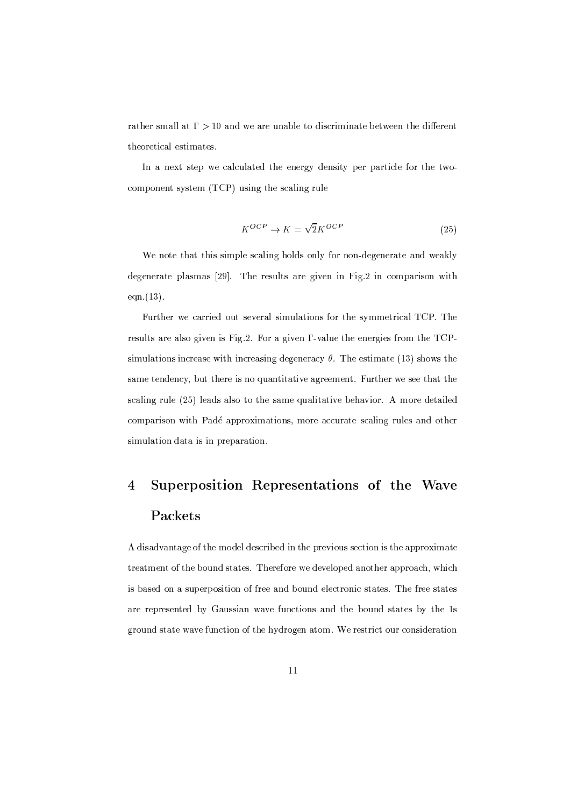rather small at  $\Gamma > 10$  and we are unable to discriminate between the different theoretical estimates.

In a next step we calculated the energy density per particle for the twocomponent system  $(TCP)$  using the scaling rule

$$
K^{OCP} \to K = \sqrt{2}K^{OCP} \tag{25}
$$

We note that this simple scaling holds only for non-degenerate and weakly degenerate plasmas [29]. The results are given in Fig.2 in comparison with  $eqn.(13).$ 

Further we carried out several simulations for the symmetrical TCP. The results are also given is Fig.2. For a given  $\Gamma$ -value the energies from the TCPsimulations increase with increasing degeneracy  $\theta$ . The estimate (13) shows the same tendency, but there is no quantitative agreement. Further we see that the scaling rule (25) leads also to the same qualitative behavior. A more detailed comparison with Padé approximations, more accurate scaling rules and other simulation data is in preparation.

## $\overline{4}$ Superposition Representations of the Wave Packets

A disadvantage of the model described in the previous section is the approximate treatment of the bound states. Therefore we developed another approach, which is based on a superposition of free and bound electronic states. The free states are represented by Gaussian wave functions and the bound states by the 1s ground state wave function of the hydrogen atom. We restrict our consideration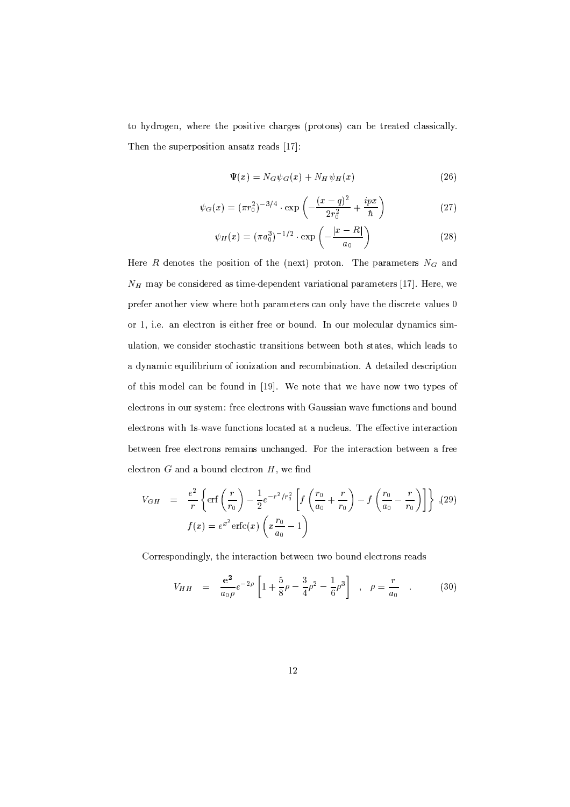to hydrogen, where the positive charges (protons) can be treated classically. Then the superposition ansatz reads [17]:

$$
\Psi(x) = N_G \psi_G(x) + N_H \psi_H(x) \tag{26}
$$

$$
\psi_G(x) = (\pi r_0^2)^{-3/4} \cdot \exp\left(-\frac{(x-q)^2}{2r_0^2} + \frac{ipx}{\hbar}\right) \tag{27}
$$

$$
\psi_H(x) = (\pi a_0^3)^{-1/2} \cdot \exp\left(-\frac{|x - R|}{a_0}\right) \tag{28}
$$

Here  $R$  denotes the position of the (next) proton. The parameters  $N_G$  and  $N_H$  may be considered as time-dependent variational parameters [17]. Here, we prefer another view where both parameters can only have the discrete values 0 or 1, i.e. an electron is either free or bound. In our molecular dynamics simulation, we consider stochastic transitions between both states, which leads to a dynamic equilibrium of ionization and recombination. A detailed description of this model can be found in [19]. We note that we have now two types of electrons in our system: free electrons with Gaussian wave functions and bound electrons with 1s-wave functions located at a nucleus. The effective interaction between free electrons remains unchanged. For the interaction between a free electron  $G$  and a bound electron  $H$ , we find

$$
V_{GH} = \frac{e^2}{r} \left\{ \text{erf}\left(\frac{r}{r_0}\right) - \frac{1}{2} e^{-r^2/r_0^2} \left[ f\left(\frac{r_0}{a_0} + \frac{r}{r_0}\right) - f\left(\frac{r_0}{a_0} - \frac{r}{r_0}\right) \right] \right\} , (29)
$$
  

$$
f(x) = e^{x^2} \text{erfc}(x) \left( x \frac{r_0}{a_0} - 1 \right)
$$

Correspondingly, the interaction between two bound electrons reads

$$
V_{HH} = \frac{e^2}{a_0 \rho} e^{-2\rho} \left[ 1 + \frac{5}{8} \rho - \frac{3}{4} \rho^2 - \frac{1}{6} \rho^3 \right] , \quad \rho = \frac{r}{a_0} . \tag{30}
$$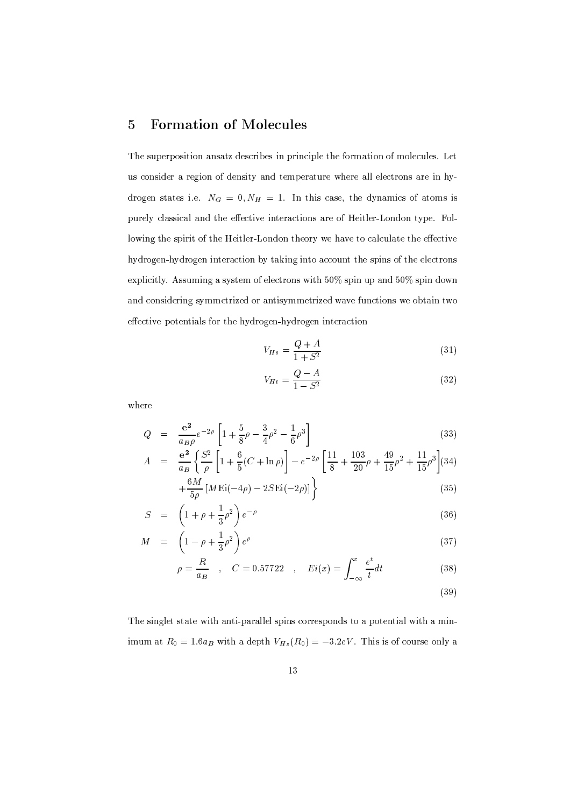#### **Formation of Molecules**  $\overline{5}$

The superposition ansatz describes in principle the formation of molecules. Let us consider a region of density and temperature where all electrons are in hydrogen states i.e.  $N_G = 0, N_H = 1$ . In this case, the dynamics of atoms is purely classical and the effective interactions are of Heitler-London type. Following the spirit of the Heitler-London theory we have to calculate the effective hydrogen-hydrogen interaction by taking into account the spins of the electrons explicitly. Assuming a system of electrons with 50% spin up and 50% spin down and considering symmetrized or antisymmetrized wave functions we obtain two effective potentials for the hydrogen-hydrogen interaction

$$
V_{Hs} = \frac{Q+A}{1+S^2} \tag{31}
$$

$$
V_{Ht} = \frac{Q - A}{1 - S^2}
$$
 (32)

where

$$
Q = \frac{e^2}{a_B \rho} e^{-2\rho} \left[ 1 + \frac{5}{8} \rho - \frac{3}{4} \rho^2 - \frac{1}{6} \rho^3 \right]
$$
 (33)

$$
A = \frac{e^2}{a_B} \left\{ \frac{S^2}{\rho} \left[ 1 + \frac{6}{5} (C + \ln \rho) \right] - e^{-2\rho} \left[ \frac{11}{8} + \frac{103}{20} \rho + \frac{49}{15} \rho^2 + \frac{11}{15} \rho^3 \right] (34) \right\}
$$
\n
$$
= \frac{6M}{10} [MEi(4\phi) - 2SEi(-2\phi)]
$$
\n(35)

$$
+\frac{1}{5\rho}\left[M\operatorname{Ei}(-4\rho)-2S\operatorname{Ei}(-2\rho)\right]\right\}\tag{35}
$$

$$
S = \left(1 + \rho + \frac{1}{3}\rho^2\right)e^{-\rho} \tag{36}
$$

$$
M = \left(1 - \rho + \frac{1}{3}\rho^2\right)e^{\rho} \tag{37}
$$

$$
\rho = \frac{R}{a_B} \quad , \quad C = 0.57722 \quad , \quad Ei(x) = \int_{-\infty}^{x} \frac{e^t}{t} dt \tag{38}
$$

 $(39)$ 

The singlet state with anti-parallel spins corresponds to a potential with a minimum at  $R_0 = 1.6a_B$  with a depth  $V_{Hs}(R_0) = -3.2eV$ . This is of course only a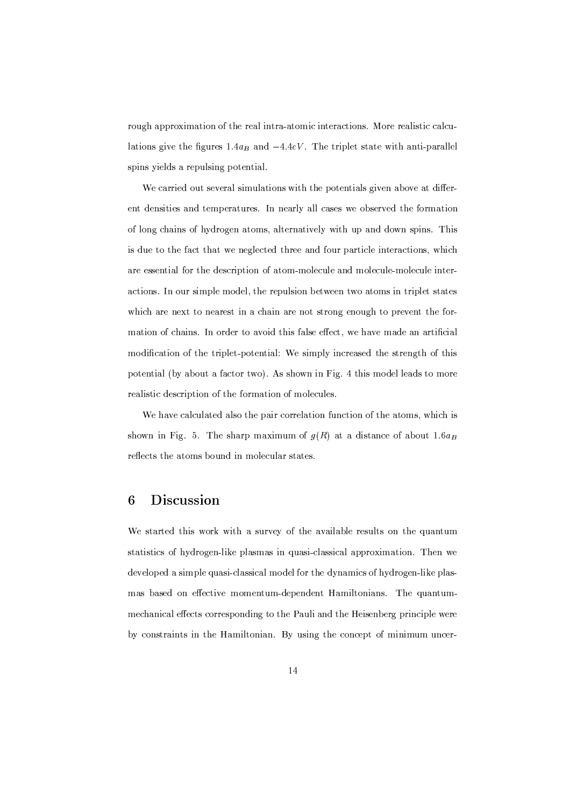rough approximation of the real intra-atomic interactions. More realistic calculations give the figures 1.4 $a_B$  and  $-4.4eV$ . The triplet state with anti-parallel spins yields a repulsing potential.

We carried out several simulations with the potentials given above at different densities and temperatures. In nearly all cases we observed the formation of long chains of hydrogen atoms, alternatively with up and down spins. This is due to the fact that we neglected three and four particle interactions, which are essential for the description of atom-molecule and molecule-molecule interactions. In our simple model, the repulsion between two atoms in triplet states which are next to nearest in a chain are not strong enough to prevent the formation of chains. In order to avoid this false effect, we have made an artificial modification of the triplet-potential: We simply increased the strength of this potential (by about a factor two). As shown in Fig. 4 this model leads to more realistic description of the formation of molecules.

We have calculated also the pair correlation function of the atoms, which is shown in Fig. 5. The sharp maximum of  $g(R)$  at a distance of about 1.6 $a_R$ reflects the atoms bound in molecular states.

#### **Discussion** 6

We started this work with a survey of the available results on the quantum statistics of hydrogen-like plasmas in quasi-classical approximation. Then we developed a simple quasi-classical model for the dynamics of hydrogen-like plasmas based on effective momentum-dependent Hamiltonians. The quantummechanical effects corresponding to the Pauli and the Heisenberg principle were by constraints in the Hamiltonian. By using the concept of minimum uncer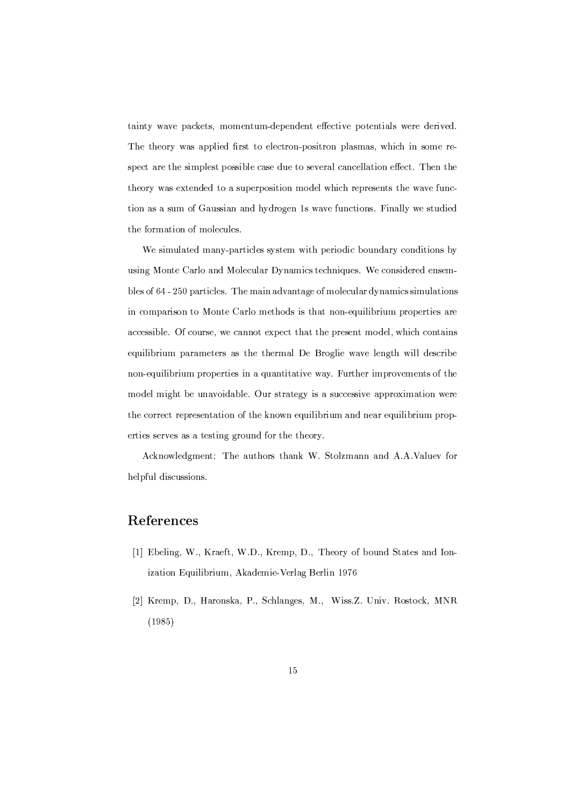tainty wave packets, momentum-dependent effective potentials were derived. The theory was applied first to electron-positron plasmas, which in some respect are the simplest possible case due to several cancellation effect. Then the theory was extended to a superposition model which represents the wave function as a sum of Gaussian and hydrogen 1s wave functions. Finally we studied the formation of molecules.

We simulated many-particles system with periodic boundary conditions by using Monte Carlo and Molecular Dynamics techniques. We considered ensembles of 64 - 250 particles. The main advantage of molecular dynamics simulations in comparison to Monte Carlo methods is that non-equilibrium properties are accessible. Of course, we cannot expect that the present model, which contains equilibrium parameters as the thermal De Broglie wave length will describe non-equilibrium properties in a quantitative way. Further improvements of the model might be unavoidable. Our strategy is a successive approximation were the correct representation of the known equilibrium and near equilibrium properties serves as a testing ground for the theory.

Acknowledgment: The authors thank W. Stolzmann and A.A.Valuev for helpful discussions.

## References

- [1] Ebeling, W., Kraeft, W.D., Kremp, D., Theory of bound States and Ionization Equilibrium, Akademie-Verlag Berlin 1976
- [2] Kremp, D., Haronska, P., Schlanges, M., Wiss.Z. Univ. Rostock, MNR  $(1985)$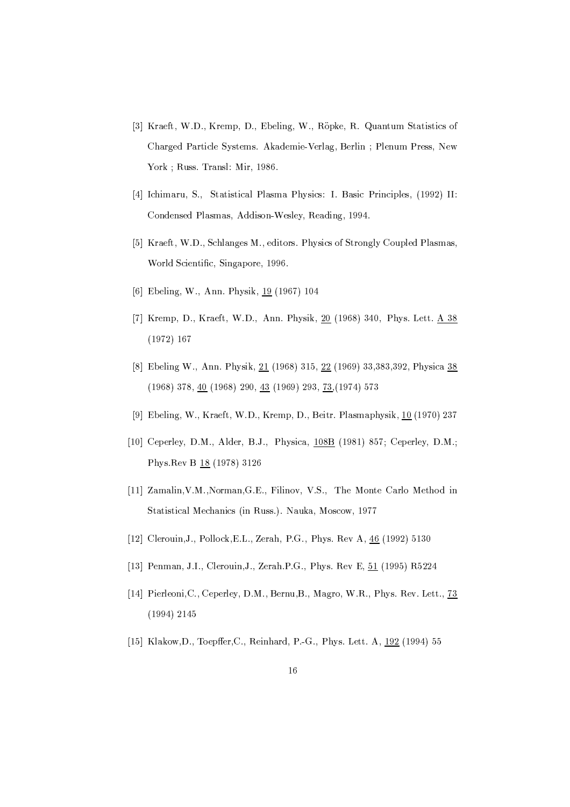- [3] Kraeft, W.D., Kremp, D., Ebeling, W., Röpke, R. Quantum Statistics of Charged Particle Systems. Akademie-Verlag, Berlin; Plenum Press, New York ; Russ. Transl: Mir, 1986.
- [4] Ichimaru, S., Statistical Plasma Physics: I. Basic Principles, (1992) II: Condensed Plasmas, Addison-Wesley, Reading, 1994.
- [5] Kraeft, W.D., Schlanges M., editors. Physics of Strongly Coupled Plasmas, World Scientific, Singapore, 1996.
- [6] Ebeling, W., Ann. Physik, 19 (1967) 104
- [7] Kremp, D., Kraeft, W.D., Ann. Physik, 20 (1968) 340, Phys. Lett. A 38  $(1972)$  167
- [8] Ebeling W., Ann. Physik, 21 (1968) 315, 22 (1969) 33,383,392, Physica 38  $(1968)$  378,  $40$   $(1968)$  290,  $43$   $(1969)$  293,  $73$ ,  $(1974)$  573
- [9] Ebeling, W., Kraeft, W.D., Kremp, D., Beitr. Plasmaphysik, 10 (1970) 237
- [10] Ceperley, D.M., Alder, B.J., Physica, 108B (1981) 857; Ceperley, D.M.; Phys. Rev B 18 (1978) 3126
- [11] Zamalin, V.M., Norman, G.E., Filinov, V.S., The Monte Carlo Method in Statistical Mechanics (in Russ.). Nauka, Moscow, 1977
- [12] Clerouin, J., Pollock, E.L., Zerah, P.G., Phys. Rev A, 46 (1992) 5130
- [13] Penman, J.I., Clerouin, J., Zerah.P.G., Phys. Rev E, 51 (1995) R5224
- [14] Pierleoni, C., Ceperley, D.M., Bernu, B., Magro, W.R., Phys. Rev. Lett., 73  $(1994)$  2145
- [15] Klakow, D., Toepffer, C., Reinhard, P.-G., Phys. Lett. A, 192 (1994) 55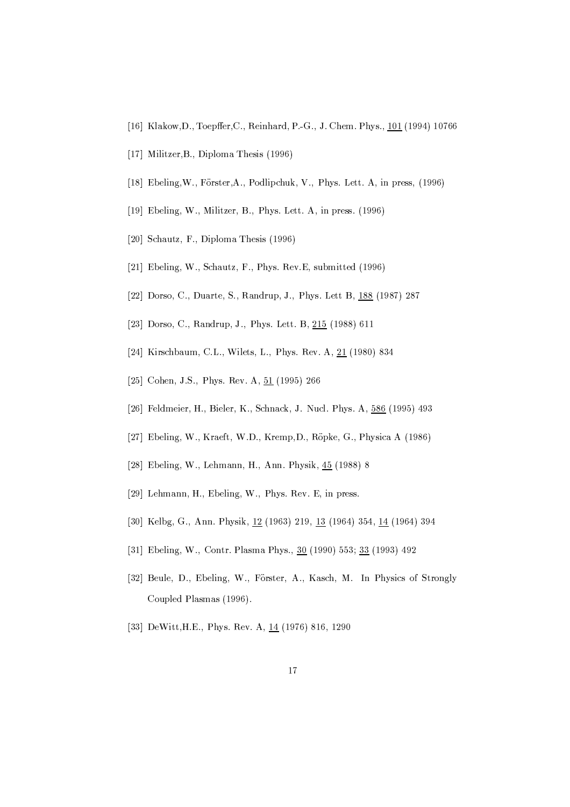- [16] Klakow, D., Toepffer, C., Reinhard, P.-G., J. Chem. Phys., 101 (1994) 10766
- [17] Militzer, B., Diploma Thesis (1996)
- [18] Ebeling, W., Förster, A., Podlipchuk, V., Phys. Lett. A, in press, (1996)
- [19] Ebeling, W., Militzer, B., Phys. Lett. A, in press. (1996)
- [20] Schautz, F., Diploma Thesis (1996)
- [21] Ebeling, W., Schautz, F., Phys. Rev.E, submitted (1996)
- [22] Dorso, C., Duarte, S., Randrup, J., Phys. Lett B, 188 (1987) 287
- [23] Dorso, C., Randrup, J., Phys. Lett. B, 215 (1988) 611
- [24] Kirschbaum, C.L., Wilets, L., Phys. Rev. A, 21 (1980) 834
- [25] Cohen, J.S., Phys. Rev. A,  $51$  (1995) 266
- [26] Feldmeier, H., Bieler, K., Schnack, J. Nucl. Phys. A, 586 (1995) 493
- [27] Ebeling, W., Kraeft, W.D., Kremp, D., Röpke, G., Physica A (1986)
- [28] Ebeling, W., Lehmann, H., Ann. Physik, 45 (1988) 8
- [29] Lehmann, H., Ebeling, W., Phys. Rev. E, in press.
- [30] Kelbg, G., Ann. Physik, 12 (1963) 219, 13 (1964) 354, 14 (1964) 394
- [31] Ebeling, W., Contr. Plasma Phys., 30 (1990) 553; 33 (1993) 492
- [32] Beule, D., Ebeling, W., Förster, A., Kasch, M. In Physics of Strongly Coupled Plasmas (1996).
- [33] DeWitt, H.E., Phys. Rev. A, 14 (1976) 816, 1290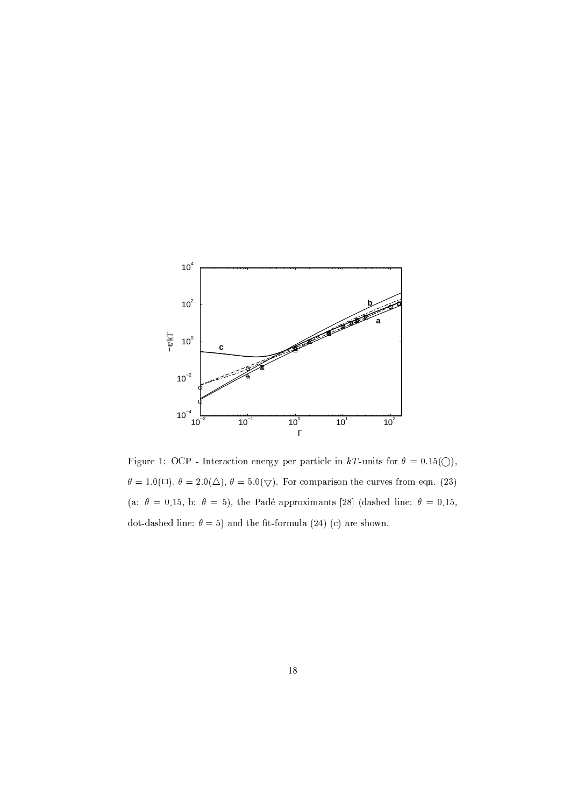

Figure 1: OCP - Interaction energy per particle in kT-units for  $\theta = 0.15(\bigcirc)$ ,  $\theta = 1.0(\Box)$ ,  $\theta = 2.0(\triangle)$ ,  $\theta = 5.0(\nabla)$ . For comparison the curves from eqn. (23) (a:  $\theta = 0.15$ , b:  $\theta = 5$ ), the Padé approximants [28] (dashed line:  $\theta = 0.15$ , dot-dashed line:  $\theta = 5$ ) and the fit-formula (24) (c) are shown.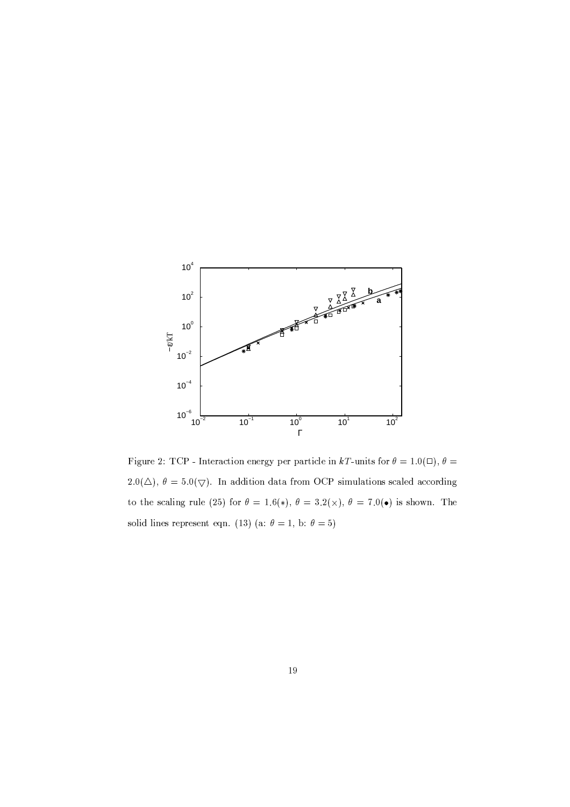

Figure 2: TCP - Interaction energy per particle in kT-units for  $\theta = 1.0(\Box)$ ,  $\theta =$ 2.0( $\triangle$ ),  $\theta = 5.0(\nabla)$ . In addition data from OCP simulations scaled according to the scaling rule (25) for  $\theta = 1.6(*)$ ,  $\theta = 3.2(*)$ ,  $\theta = 7.0(*)$  is shown. The solid lines represent eqn. (13) (a:  $\theta = 1$ , b:  $\theta = 5$ )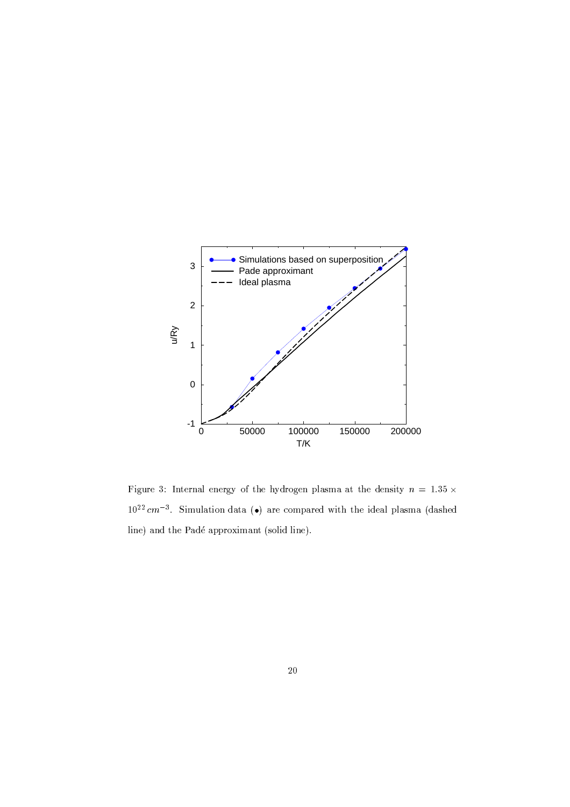

Figure 3: Internal energy of the hydrogen plasma at the density  $n = 1.35 \times$  $10^{22}$  cm<sup>-3</sup>. Simulation data (•) are compared with the ideal plasma (dashed line) and the Padé approximant (solid line).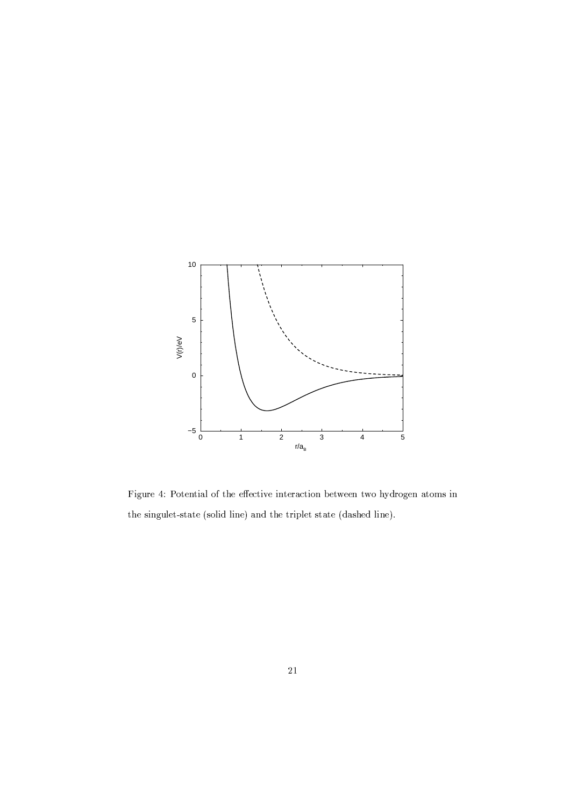

Figure 4: Potential of the effective interaction between two hydrogen atoms in the singulet-state (solid line) and the triplet state (dashed line).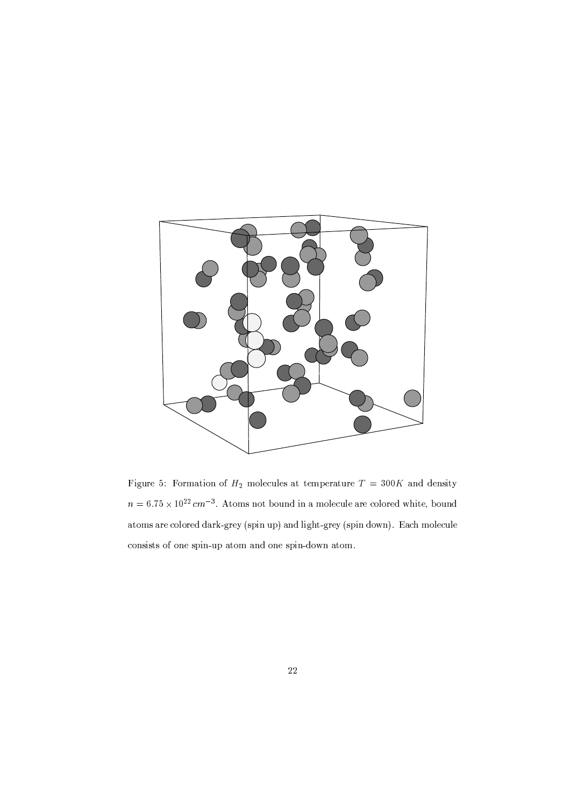

Figure 5: Formation of  $H_2$  molecules at temperature  $T = 300K$  and density  $n=6.75\times 10^{22}\,cm^{-3}.$  Atoms not bound in a molecule are colored white, bound atoms are colored dark-grey (spin up) and light-grey (spin down). Each molecule consists of one spin-up atom and one spin-down atom.